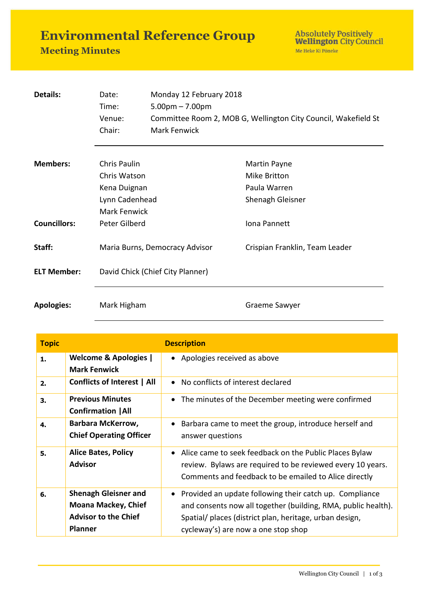**Environmental Reference Group** 

## **Meeting Minutes**

Absolutely Positively<br>Wellington City Council Me Heke Ki Pôneke

| Details:            | Date:                          | Monday 12 February 2018                                                                             |                                |  |
|---------------------|--------------------------------|-----------------------------------------------------------------------------------------------------|--------------------------------|--|
|                     | Time:                          | $5.00 \text{pm} - 7.00 \text{pm}$<br>Committee Room 2, MOB G, Wellington City Council, Wakefield St |                                |  |
|                     | Venue:                         |                                                                                                     |                                |  |
|                     | Chair:                         | <b>Mark Fenwick</b>                                                                                 |                                |  |
| <b>Members:</b>     | Chris Paulin                   |                                                                                                     |                                |  |
|                     |                                |                                                                                                     | Martin Payne                   |  |
|                     | Chris Watson                   |                                                                                                     | Mike Britton                   |  |
|                     | Kena Duignan                   |                                                                                                     | Paula Warren                   |  |
| Lynn Cadenhead      |                                |                                                                                                     | Shenagh Gleisner               |  |
|                     | Mark Fenwick                   |                                                                                                     |                                |  |
| <b>Councillors:</b> | Peter Gilberd                  |                                                                                                     | Iona Pannett                   |  |
| Staff:              | Maria Burns, Democracy Advisor |                                                                                                     | Crispian Franklin, Team Leader |  |
| <b>ELT Member:</b>  |                                | David Chick (Chief City Planner)                                                                    |                                |  |
|                     |                                |                                                                                                     |                                |  |
| <b>Apologies:</b>   | Mark Higham                    |                                                                                                     | Graeme Sawyer                  |  |

| <b>Topic</b> |                                                                                                            | <b>Description</b>                                                                                                                                                                                                           |
|--------------|------------------------------------------------------------------------------------------------------------|------------------------------------------------------------------------------------------------------------------------------------------------------------------------------------------------------------------------------|
| 1.           | <b>Welcome &amp; Apologies  </b><br><b>Mark Fenwick</b>                                                    | • Apologies received as above                                                                                                                                                                                                |
| 2.           | <b>Conflicts of Interest   All</b>                                                                         | • No conflicts of interest declared                                                                                                                                                                                          |
| 3.           | <b>Previous Minutes</b><br><b>Confirmation   All</b>                                                       | The minutes of the December meeting were confirmed                                                                                                                                                                           |
| 4.           | <b>Barbara McKerrow,</b><br><b>Chief Operating Officer</b>                                                 | Barbara came to meet the group, introduce herself and<br>answer questions                                                                                                                                                    |
| 5.           | <b>Alice Bates, Policy</b><br><b>Advisor</b>                                                               | • Alice came to seek feedback on the Public Places Bylaw<br>review. Bylaws are required to be reviewed every 10 years.<br>Comments and feedback to be emailed to Alice directly                                              |
| 6.           | <b>Shenagh Gleisner and</b><br><b>Moana Mackey, Chief</b><br><b>Advisor to the Chief</b><br><b>Planner</b> | • Provided an update following their catch up. Compliance<br>and consents now all together (building, RMA, public health).<br>Spatial/ places (district plan, heritage, urban design,<br>cycleway's) are now a one stop shop |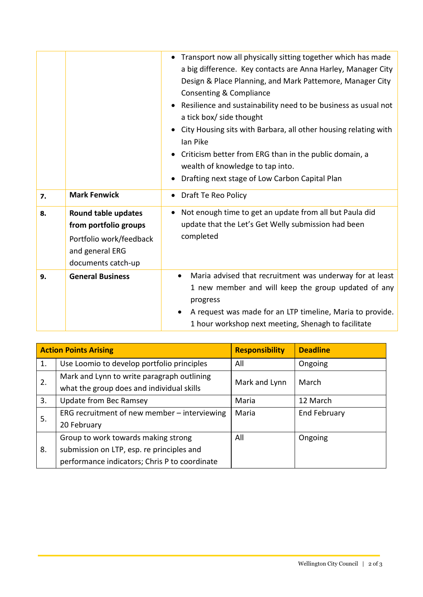|    |                                                                                                                  | Transport now all physically sitting together which has made<br>$\bullet$<br>a big difference. Key contacts are Anna Harley, Manager City<br>Design & Place Planning, and Mark Pattemore, Manager City<br>Consenting & Compliance<br>Resilience and sustainability need to be business as usual not<br>$\bullet$<br>a tick box/ side thought<br>City Housing sits with Barbara, all other housing relating with<br>lan Pike<br>Criticism better from ERG than in the public domain, a<br>wealth of knowledge to tap into.<br>Drafting next stage of Low Carbon Capital Plan |
|----|------------------------------------------------------------------------------------------------------------------|-----------------------------------------------------------------------------------------------------------------------------------------------------------------------------------------------------------------------------------------------------------------------------------------------------------------------------------------------------------------------------------------------------------------------------------------------------------------------------------------------------------------------------------------------------------------------------|
| 7. | <b>Mark Fenwick</b>                                                                                              | Draft Te Reo Policy                                                                                                                                                                                                                                                                                                                                                                                                                                                                                                                                                         |
| 8. | Round table updates<br>from portfolio groups<br>Portfolio work/feedback<br>and general ERG<br>documents catch-up | Not enough time to get an update from all but Paula did<br>update that the Let's Get Welly submission had been<br>completed                                                                                                                                                                                                                                                                                                                                                                                                                                                 |
| 9. | <b>General Business</b>                                                                                          | Maria advised that recruitment was underway for at least<br>1 new member and will keep the group updated of any<br>progress<br>A request was made for an LTP timeline, Maria to provide.<br>1 hour workshop next meeting, Shenagh to facilitate                                                                                                                                                                                                                                                                                                                             |

| <b>Action Points Arising</b> |                                               | <b>Responsibility</b> | <b>Deadline</b> |
|------------------------------|-----------------------------------------------|-----------------------|-----------------|
| 1.                           | Use Loomio to develop portfolio principles    | All                   | Ongoing         |
| 2.                           | Mark and Lynn to write paragraph outlining    | Mark and Lynn         | March           |
|                              | what the group does and individual skills     |                       |                 |
| 3.                           | Update from Bec Ramsey                        | Maria                 | 12 March        |
| 5.                           | ERG recruitment of new member - interviewing  | Maria                 | End February    |
|                              | 20 February                                   |                       |                 |
|                              | Group to work towards making strong           | All                   | Ongoing         |
| 8.                           | submission on LTP, esp. re principles and     |                       |                 |
|                              | performance indicators; Chris P to coordinate |                       |                 |